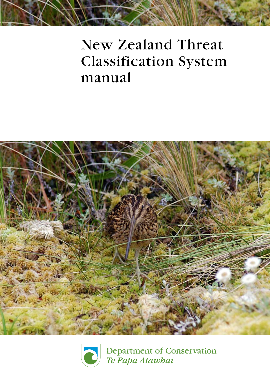# New Zealand Threat Classification System manual





Department of Conservation Te Papa Atawhai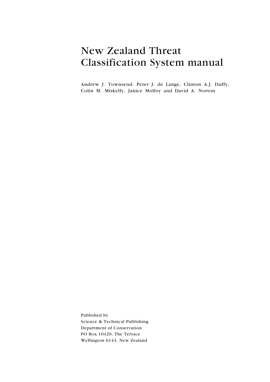### New Zealand Threat Classification System manual

Andrew J. Townsend, Peter J. de Lange, Clinton A.J. Duffy, Colin M. Miskelly, Janice Molloy and David A. Norton

Published by Science & Technical Publishing Department of Conservation PO Box 10420, The Terrace Wellington 6143, New Zealand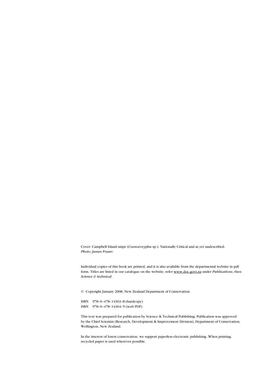Cover: Campbell Island snipe (Coenocorypha sp.): Nationally Critical and as yet undescribed. Photo: James Fraser.

Individual copies of this book are printed, and it is also available from the departmental website in pdf form. Titles are listed in our catalogue on the website, refer www.doc.govt.nz under Publications, then Science & technical.

© Copyright January 2008, New Zealand Department of Conservation

ISBN 978–0–478–14363–8 (hardcopy) ISBN 978–0–478–14364–5 (web PDF)

This text was prepared for publication by Science & Technical Publishing. Publication was approved by the Chief Scientist (Research, Development & Improvement Division), Department of Conservation, Wellington, New Zealand.

In the interest of forest conservation, we support paperless electronic publishing. When printing, recycled paper is used wherever possible.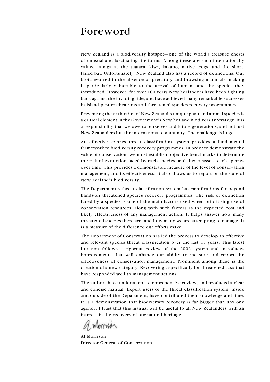### Foreword

New Zealand is a biodiversity hotspot—one of the world's treasure chests of unusual and fascinating life forms. Among these are such internationally valued taonga as the tuatara, kiwi, kakapo, native frogs, and the shorttailed bat. Unfortunately, New Zealand also has a record of extinctions. Our biota evolved in the absence of predatory and browsing mammals, making it particularly vulnerable to the arrival of humans and the species they introduced. However, for over 100 years New Zealanders have been fighting back against the invading tide, and have achieved many remarkable successes in island pest eradications and threatened species recovery programmes.

Preventing the extinction of New Zealand's unique plant and animal species is a critical element in the Government's New Zealand Biodiversity Strategy. It is a responsibility that we owe to ourselves and future generations, and not just New Zealanders but the international community. The challenge is huge.

An effective species threat classification system provides a fundamental framework to biodiversity recovery programmes. In order to demonstrate the value of conservation, we must establish objective benchmarks to determine the risk of extinction faced by each species, and then reassess each species over time. This provides a demonstrable measure of the level of conservation management, and its effectiveness. It also allows us to report on the state of New Zealand's biodiversity.

The Department's threat classification system has ramifications far beyond hands-on threatened species recovery programmes. The risk of extinction faced by a species is one of the main factors used when prioritising use of conservation resources, along with such factors as the expected cost and likely effectiveness of any management action. It helps answer how many threatened species there are, and how many we are attempting to manage. It is a measure of the difference our efforts make.

The Department of Conservation has led the process to develop an effective and relevant species threat classification over the last 15 years. This latest iteration follows a rigorous review of the 2002 system and introduces improvements that will enhance our ability to measure and report the effectiveness of conservation management. Prominent among these is the creation of a new category 'Recovering', specifically for threatened taxa that have responded well to management actions.

The authors have undertaken a comprehensive review, and produced a clear and concise manual. Expert users of the threat classification system, inside and outside of the Department, have contributed their knowledge and time. It is a demonstration that biodiversity recovery is far bigger than any one agency. I trust that this manual will be useful to all New Zealanders with an interest in the recovery of our natural heritage.

Al Morrison Director-General of Conservation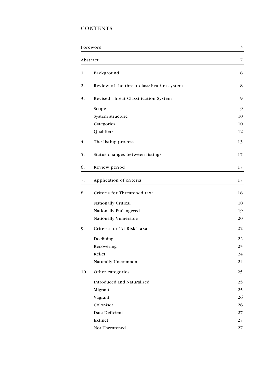### **CONTENTS**

|     | Foreword                                   | 3  |  |
|-----|--------------------------------------------|----|--|
|     | Abstract                                   | 7  |  |
| 1.  | Background                                 | 8  |  |
| 2.  | Review of the threat classification system | 8  |  |
| 3.  | Revised Threat Classification System       | 9  |  |
|     | Scope                                      | 9  |  |
|     | System structure                           | 10 |  |
|     | Categories                                 | 10 |  |
|     | Qualifiers                                 | 12 |  |
| 4.  | The listing process                        | 13 |  |
| 5.  | Status changes between listings            | 17 |  |
| 6.  | Review period                              | 17 |  |
| 7.  | Application of criteria                    | 17 |  |
| 8.  | Criteria for Threatened taxa               | 18 |  |
|     | Nationally Critical                        | 18 |  |
|     | Nationally Endangered                      | 19 |  |
|     | Nationally Vulnerable                      | 20 |  |
| 9.  | Criteria for 'At Risk' taxa                | 22 |  |
|     | Declining                                  | 22 |  |
|     | Recovering                                 | 23 |  |
|     | Relict                                     | 24 |  |
|     | <b>Naturally Uncommon</b>                  | 24 |  |
| 10. | Other categories                           | 25 |  |
|     | Introduced and Naturalised                 | 25 |  |
|     | Migrant                                    | 25 |  |
|     | Vagrant                                    | 26 |  |
|     | Coloniser                                  | 26 |  |
|     | Data Deficient                             | 27 |  |
|     | Extinct                                    | 27 |  |
|     | Not Threatened                             | 27 |  |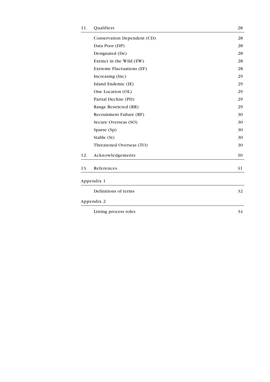| 11. | Qualifiers                       | 28 |
|-----|----------------------------------|----|
|     | Conservation Dependent (CD)      | 28 |
|     | Data Poor (DP)                   | 28 |
|     | Designated (De)                  | 28 |
|     | Extinct in the Wild (EW)         | 28 |
|     | <b>Extreme Fluctuations (EF)</b> | 28 |
|     | Increasing (Inc)                 | 29 |
|     | Island Endemic (IE)              | 29 |
|     | One Location (OL)                | 29 |
|     | Partial Decline (PD)             | 29 |
|     | Range Restricted (RR)            | 29 |
|     | Recruitment Failure (RF)         | 30 |
|     | Secure Overseas (SO)             | 30 |
|     | Sparse (Sp)                      | 30 |
|     | Stable (St)                      | 30 |
|     | Threatened Overseas (TO)         | 30 |
| 12. | Acknowledgements                 | 30 |
| 13. | References                       | 31 |
|     | Appendix 1                       |    |
|     | Definitions of terms             | 32 |
|     | Appendix 2                       |    |
|     | Listing process roles            | 34 |
|     |                                  |    |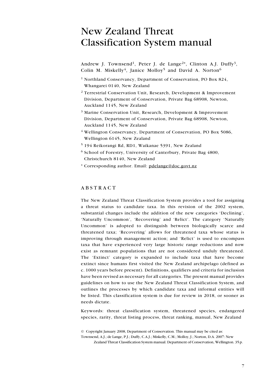### New Zealand Threat Classification System manual

Andrew J. Townsend<sup>1</sup>, Peter J. de Lange<sup>2\*</sup>, Clinton A.J. Duffy<sup>3</sup>, Colin M. Miskelly<sup>4</sup>, Janice Molloy<sup>5</sup> and David A. Norton<sup>6</sup>

- <sup>1</sup> Northland Conservancy, Department of Conservation, PO Box 824, Whangarei 0140, New Zealand
- $2$  Terrestrial Conservation Unit, Research, Development & Improvement Division, Department of Conservation, Private Bag 68908, Newton, Auckland 1145, New Zealand
- <sup>3</sup> Marine Conservation Unit, Research, Development & Improvement Division, Department of Conservation, Private Bag 68908, Newton, Auckland 1145, New Zealand
- <sup>4</sup> Wellington Conservancy, Department of Conservation, PO Box 5086, Wellington 6145, New Zealand
- <sup>5</sup> 194 Reikorangi Rd, RD1, Waikanae 5391, New Zealand
- <sup>6</sup> School of Forestry, University of Canterbury, Private Bag 4800, Christchurch 8140, New Zealand
- \* Corresponding author. Email: pdelange@doc.govt.nz

#### **ABSTRACT**

The New Zealand Threat Classification System provides a tool for assigning a threat status to candidate taxa. In this revision of the 2002 system, substantial changes include the addition of the new categories 'Declining', 'Naturally Uncommon', 'Recovering' and 'Relict'. The category 'Naturally Uncommon' is adopted to distinguish between biologically scarce and threatened taxa; 'Recovering' allows for threatened taxa whose status is improving through management action; and 'Relict' is used to encompass taxa that have experienced very large historic range reductions and now exist as remnant populations that are not considered unduly threatened. The 'Extinct' category is expanded to include taxa that have become extinct since humans first visited the New Zealand archipelago (defined as c. 1000 years before present). Definitions, qualifiers and criteria for inclusion have been revised as necessary for all categories. The present manual provides guidelines on how to use the New Zealand Threat Classification System, and outlines the processes by which candidate taxa and informal entities will be listed. This classification system is due for review in 2018, or sooner as needs dictate.

Keywords: threat classification system, threatened species, endangered species, rarity, threat listing process, threat ranking, manual, New Zealand

Zealand Threat Classification System manual. Department of Conservation, Wellington. 35p.

<sup>©</sup> Copyright January 2008, Department of Conservation. This manual may be cited as:

Townsend, A.J.; de Lange, P.J.; Duffy, C.A.J.; Miskelly, C.M.; Molloy, J.; Norton, D.A. 2007: New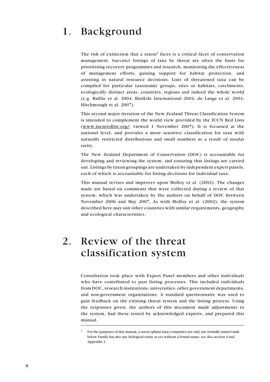### 1. Background

The risk of extinction that a taxon<sup>1</sup> faces is a critical facet of conservation management. Succinct listings of taxa by threat are often the basis for prioritising recovery programmes and research, monitoring the effectiveness of management efforts, gaining support for habitat protection, and assisting in natural resource decisions. Lists of threatened taxa can be compiled for particular taxonomic groups, sites or habitats, catchments, ecologically distinct areas, countries, regions and indeed the whole world (e.g. Baillie et al. 2004; BirdLife International 2004; de Lange et al. 2004; Hitchmough et al. 2007).

This second major iteration of the New Zealand Threat Classification System is intended to complement the world view provided by the IUCN Red Lists (www.iucnredlist.org/; viewed 1 November 2007). It is focussed at the national level, and provides a more sensitive classification for taxa with naturally restricted distributions and small numbers as a result of insular rarity.

The New Zealand Department of Conservation (DOC) is accountable for developing and reviewing the system, and ensuring that listings are carried out. Listings by taxon groupings are undertaken by independent expert panels, each of which is accountable for listing decisions for individual taxa.

This manual revises and improves upon Molloy et al. (2002). The changes made are based on comments that were collected during a review of that system, which was undertaken by the authors on behalf of DOC between November 2006 and May 2007. As with Molloy et al. (2002), the system described here may suit other countries with similar requirements, geography and ecological characteristics.

### 2. Review of the threat classification system

Consultation took place with Expert Panel members and other individuals who have contributed to past listing processes. This included individuals from DOC, research institutions, universities, other government departments, and non-government organisations. A standard questionnaire was used to gain feedback on the existing threat system and the listing process. Using the responses given, the authors of this document made adjustments to the system, had these tested by acknowledged experts, and prepared this manual.

<sup>1</sup> For the purposes of this manual, a taxon (plural taxa) comprises not only any formally named rank below Family but also any biological entity as yet without a formal name; see also section 3 and Appendix 1.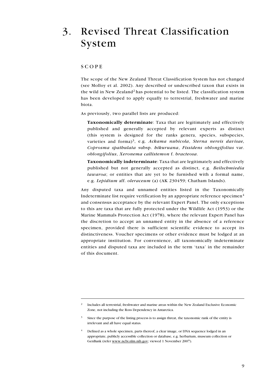### 3. Revised Threat Classification System

#### **SCOPE**

The scope of the New Zealand Threat Classification System has not changed (see Molloy et al. 2002). Any described or undescribed taxon that exists in the wild in New Zealand<sup>2</sup> has potential to be listed. The classification system has been developed to apply equally to terrestrial, freshwater and marine biota.

As previously, two parallel lists are produced:

Taxonomically determinate: Taxa that are legitimately and effectively published and generally accepted by relevant experts as distinct (this system is designed for the ranks genera, species, subspecies, varieties and forma)<sup>3</sup>, e.g. Ackama nubicola, Sterna nereis davisae, Coprosma spathulata subsp. hikuruana, Fissidens oblongifolius var. oblongifolius, Xeronema callistemon f. bracteosa.

Taxonomically indeterminate: Taxa that are legitimately and effectively published but not generally accepted as distinct, e.g. Beilschmiedia tawaroa; or entities that are yet to be furnished with a formal name, e.g. Lepidium aff. oleraceum (a) (AK 230459; Chatham Islands).

Any disputed taxa and unnamed entities listed in the Taxonomically Indeterminate list require verification by an appropriate reference specimen $4$ and consensus acceptance by the relevant Expert Panel. The only exceptions to this are taxa that are fully protected under the Wildlife Act (1953) or the Marine Mammals Protection Act (1978), where the relevant Expert Panel has the discretion to accept an unnamed entity in the absence of a reference specimen, provided there is sufficient scientific evidence to accept its distinctiveness. Voucher specimens or other evidence must be lodged at an appropriate institution. For convenience, all taxonomically indeterminate entities and disputed taxa are included in the term 'taxa' in the remainder of this document.

<sup>2</sup> Includes all terrestrial, freshwater and marine areas within the New Zealand Exclusive Economic Zone, not including the Ross Dependency in Antarctica.

<sup>3</sup> Since the purpose of the listing process is to assign threat, the taxonomic rank of the entity is irrelevant and all have equal status.

<sup>4</sup> Defined as a whole specimen, parts thereof, a clear image, or DNA sequence lodged in an appropriate, publicly accessible collection or database, e.g. herbarium, museum collection or GenBank (refer www.ncbi.nlm.nih.gov; viewed 1 November 2007).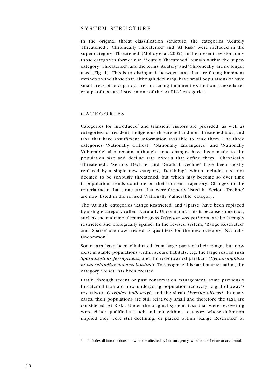#### SYSTEM STRUCTURE

In the original threat classification structure, the categories 'Acutely Threatened', 'Chronically Threatened' and 'At Risk' were included in the super-category 'Threatened' (Molloy et al. 2002). In the present revision, only those categories formerly in 'Acutely Threatened' remain within the supercategory 'Threatened', and the terms 'Acutely' and 'Chronically' are no longer used (Fig. 1). This is to distinguish between taxa that are facing imminent extinction and those that, although declining, have small populations or have small areas of occupancy, are not facing imminent extinction. These latter groups of taxa are listed in one of the 'At Risk' categories.

#### **CATEGORIES**

Categories for introduced<sup>5</sup> and transient visitors are provided, as well as categories for resident, indigenous threatened and non-threatened taxa, and taxa that have insufficient information available to rank them. The three categories 'Nationally Critical', 'Nationally Endangered' and 'Nationally Vulnerable' also remain, although some changes have been made to the population size and decline rate criteria that define them. 'Chronically Threatened', 'Serious Decline' and 'Gradual Decline' have been mostly replaced by a single new category, 'Declining', which includes taxa not deemed to be seriously threatened, but which may become so over time if population trends continue on their current trajectory. Changes to the criteria mean that some taxa that were formerly listed in 'Serious Decline' are now listed in the revised 'Nationally Vulnerable' category.

The 'At Risk' categories 'Range Restricted' and 'Sparse' have been replaced by a single category called 'Naturally Uncommon'. This is because some taxa, such as the endemic ultramafic grass Trisetum serpentinum, are both rangerestricted and biologically sparse. In the revised system, 'Range Restricted' and 'Sparse' are now treated as qualifiers for the new category 'Naturally Uncommon'.

Some taxa have been eliminated from large parts of their range, but now exist in stable populations within secure habitats, e.g. the large restiad rush Sporadanthus ferrugineus, and the red-crowned parakeet (Cyanoramphus novaezelandiae novaezelandiae). To recognise this particular situation, the category 'Relict' has been created.

Lastly, through recent or past conservation management, some previously threatened taxa are now undergoing population recovery, e.g. Holloway's crystalwort (Atriplex hollowayi) and the shrub Myrsine oliverii. In many cases, their populations are still relatively small and therefore the taxa are considered 'At Risk'. Under the original system, taxa that were recovering were either qualified as such and left within a category whose definition implied they were still declining, or placed within 'Range Restricted' or

<sup>5</sup> Includes all introductions known to be affected by human agency, whether deliberate or accidental.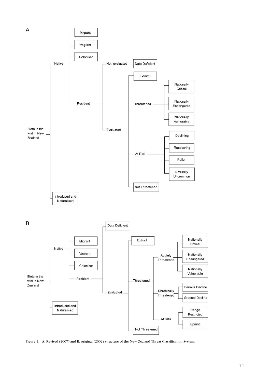

Figure 1. A. Revised (2007) and B. original (2002) structure of the New Zealand Threat Classification System.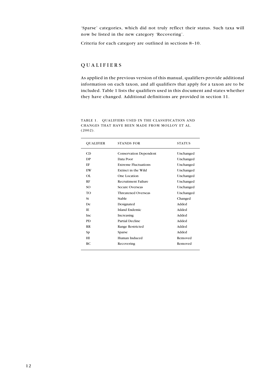'Sparse' categories, which did not truly reflect their status. Such taxa will now be listed in the new category 'Recovering'.

Criteria for each category are outlined in sections 8–10.

#### **QUALIFIERS**

As applied in the previous version of this manual, qualifiers provide additional information on each taxon, and all qualifiers that apply for a taxon are to be included. Table 1 lists the qualifiers used in this document and states whether they have changed. Additional definitions are provided in section 11.

| <b>QUALIFIER</b> | <b>STANDS FOR</b>             | <b>STATUS</b> |
|------------------|-------------------------------|---------------|
| CD               | <b>Conservation Dependent</b> | Unchanged     |
| DP               | Data Poor                     | Unchanged     |
| EF               | <b>Extreme Fluctuations</b>   | Unchanged     |
| EW               | Extinct in the Wild           | Unchanged     |
| OL               | One Location                  | Unchanged     |
| RF               | Recruitment Failure           | Unchanged     |
| SO.              | <b>Secure Overseas</b>        | Unchanged     |
| <b>TO</b>        | Threatened Overseas           | Unchanged     |
| St.              | Stable                        | Changed       |
| De               | Designated                    | Added         |
| IE               | Island Endemic                | Added         |
| Inc.             | Increasing                    | Added         |
| PD.              | Partial Decline               | Added         |
| RR               | Range Restricted              | Added         |
| Sp               | Sparse                        | Added         |
| HI               | Human Induced                 | Removed       |
| RC               | Recovering                    | Removed       |
|                  |                               |               |

Table 1. Qualifiers used in the classification and changes that have been made from Molloy et al. (2002).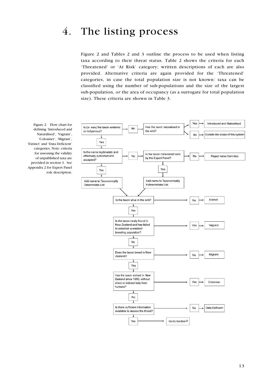### 4. The listing process

Figure 2 and Tables 2 and 3 outline the process to be used when listing taxa according to their threat status. Table 2 shows the criteria for each 'Threatened' or 'At Risk' category; written descriptions of each are also provided. Alternative criteria are again provided for the 'Threatened' categories, in case the total population size is not known: taxa can be classified using the number of sub-populations and the size of the largest sub-population, or the area of occupancy (as a surrogate for total population size). These criteria are shown in Table 3.



Figure 2. Flow chart for defining 'Introduced and Naturalised', 'Vagrant', 'Coloniser', 'Migrant', 'Extinct' and 'Data Deficient' categories. Note: criteria for assessing the validity of unpublished taxa are provided in section 3. See Appendix 2 for Expert Panel role description.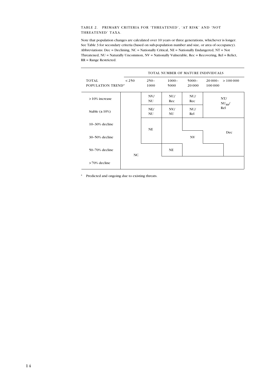#### Table 2. Primary criteria for 'Threatened', 'At Risk' and 'Not THREATENED' TAXA.

Note that population changes are calculated over 10 years or three generations, whichever is longer. See Table 3 for secondary criteria (based on sub-population number and size, or area of occupancy). Abbreviations: Dec = Declining, NC = Nationally Critical, NE = Nationally Endangered, NT = Not Threatened, NU = Naturally Uncommon, NV = Nationally Vulnerable, Rec = Recovering, Rel = Relict, RR = Range Restricted.

|                                          | TOTAL NUMBER OF MATURE INDIVIDUALS |                  |                  |                    |                           |         |
|------------------------------------------|------------------------------------|------------------|------------------|--------------------|---------------------------|---------|
| <b>TOTAL</b><br><b>POPULATION TREND*</b> | < 250                              | $250 -$<br>1000  | $1000 -$<br>5000 | $5000 -$<br>20 000 | $20000 -$<br>100000       | >100000 |
| $>10\%$ increase                         |                                    | NV/<br>NU        | NU/<br>Rec       | NU/<br>Rec         | NT/<br>$NU_{RR}$ /<br>Rel |         |
| Stable $(\pm 10\%)$                      |                                    | NE/<br><b>NU</b> | NV/<br>NU        | NU/<br>Rel         |                           |         |
| 10-30% decline                           |                                    | <b>NE</b>        |                  |                    |                           |         |
| 30-50% decline                           |                                    |                  |                  | NV                 |                           | Dec     |
| 50-70% decline                           | NC                                 |                  | <b>NE</b>        |                    |                           |         |
| $>70\%$ decline                          |                                    |                  |                  |                    |                           |         |

\* Predicted and ongoing due to existing threats.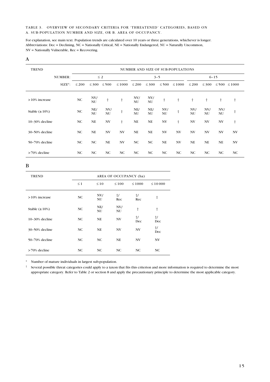#### Table 3. Overview of secondary criteria for 'Threatened' categories, based on A. sub-population number and size, or B. area of occupancy.

For explanation, see main text. Population trends are calculated over 10 years or three generations, whichever is longer. Abbreviations: Dec = Declining, NC = Nationally Critical, NE = Nationally Endangered, NU = Naturally Uncommon, NV = Nationally Vulnerable, Rec = Recovering.

#### A

| TREND               |            | NUMBER AND SIZE OF SUB-POPULATIONS |                  |                |             |                  |            |                          |                |            |                          |                |                |
|---------------------|------------|------------------------------------|------------------|----------------|-------------|------------------|------------|--------------------------|----------------|------------|--------------------------|----------------|----------------|
|                     | NUMBER:    | $\leq 2$                           |                  |                | $3 - 5$     |                  |            | $6 - 15$                 |                |            |                          |                |                |
|                     | $SIZE^*$ : | $\leq 200$                         | $\leq$ 300       | $\leq 500$     | $\leq 1000$ | $\leq 200$       | $\leq$ 300 | $\leq 500$               | $\leq 1000$    | $\leq 200$ | $\leq 300$               |                | ≤ 500 ≤ 1000   |
| $>10\%$ increase    |            | NC                                 | NV/<br>NU        | $^\dagger$     | $\ddagger$  | NV/<br><b>NU</b> | NV/<br>NU  | t                        | t              | $^{+}$     | $\ddagger$               | $\ddagger$     | t              |
| Stable $(\pm 10\%)$ |            | NC                                 | NE/<br><b>NU</b> | NVI<br>NU      | $\ddagger$  | NE/<br><b>NU</b> | NE/<br>NU  | NV/<br>NU                | $\ddot{}$      | NV/<br>NU  | NV/<br>NU                | NV/<br>NU      | $\dagger$      |
| $10-30\%$ decline   |            | NC.                                | NE               | NV             | $\ddagger$  | <b>NE</b>        | NE         | NV                       | $\ddagger$     | NV         | $\ensuremath{\text{NV}}$ | NV             | t              |
| 30-50% decline      |            | NC                                 | NE               | N <sub>V</sub> | NV          | <b>NE</b>        | <b>NE</b>  | $\ensuremath{\text{NV}}$ | N <sub>V</sub> | NV         | $\ensuremath{\text{NV}}$ | N <sub>V</sub> | N <sub>V</sub> |
| 50-70% decline      |            | NC.                                | NC               | <b>NE</b>      | NV          | NC               | NC         | <b>NE</b>                | NV             | <b>NE</b>  | <b>NE</b>                | NE             | N <sub>V</sub> |
| $>70\%$ decline     |            | NC.                                | NC               | NC             | NC          | NC               | NC         | NC                       | NC             | NC         | NC                       | NC             | NC             |

B

| <b>TREND</b>        | AREA OF OCCUPANCY (ha) |           |                   |                   |                   |  |  |
|---------------------|------------------------|-----------|-------------------|-------------------|-------------------|--|--|
|                     | $\leq 1$               | $\leq 10$ | $\leq 100$        | $\leq 1000$       | $\leq 10000$      |  |  |
| $>10\%$ increase    | NC                     | NV/<br>NU | $\dagger/$<br>Rec | $\dagger/$<br>Rec | t                 |  |  |
| Stable $(\pm 10\%)$ | NC                     | NE/<br>NU | NV/<br>NU         | t                 | $^{\dagger}$      |  |  |
| 10-30% decline      | NC                     | NE        | NV                | $\dagger/$<br>Dec | t/<br>Dec         |  |  |
| 30-50% decline      | NC                     | <b>NE</b> | NV                | NV                | $\dagger/$<br>Dec |  |  |
| 50-70% decline      | NC                     | <b>NC</b> | <b>NE</b>         | NV                | NV                |  |  |
| $>70\%$ decline     | NC                     | <b>NC</b> | NC                | <b>NC</b>         | NC.               |  |  |

\* Number of mature individuals in largest sub-population.

 $\dagger$  Several possible threat categories could apply to a taxon that fits this criterion and more information is required to determine the most appropriate category. Refer to Table 2 or section 8 and apply the precautionary principle to determine the most applicable category.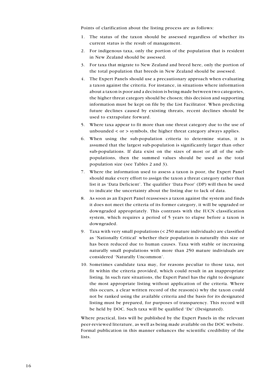Points of clarification about the listing process are as follows:

- 1. The status of the taxon should be assessed regardless of whether its current status is the result of management.
- 2. For indigenous taxa, only the portion of the population that is resident in New Zealand should be assessed.
- 3. For taxa that migrate to New Zealand and breed here, only the portion of the total population that breeds in New Zealand should be assessed.
- 4. The Expert Panels should use a precautionary approach when evaluating a taxon against the criteria. For instance, in situations where information about a taxon is poor and a decision is being made between two categories, the higher threat category should be chosen; this decision and supporting information must be kept on file by the List Facilitator. When predicting future declines caused by existing threats, recent declines should be used to extrapolate forward.
- 5. Where taxa appear to fit more than one threat category due to the use of unbounded < or > symbols, the higher threat category always applies.
- 6. When using the sub-population criteria to determine status, it is assumed that the largest sub-population is significantly larger than other sub-populations. If data exist on the sizes of most or all of the subpopulations, then the summed values should be used as the total population size (see Tables 2 and 3).
- 7. Where the information used to assess a taxon is poor, the Expert Panel should make every effort to assign the taxon a threat category rather than list it as 'Data Deficient'. The qualifier 'Data Poor' (DP) will then be used to indicate the uncertainty about the listing due to lack of data.
- 8. As soon as an Expert Panel reassesses a taxon against the system and finds it does not meet the criteria of its former category, it will be upgraded or downgraded appropriately. This contrasts with the IUCN classification system, which requires a period of 5 years to elapse before a taxon is downgraded.
- 9. Taxa with very small populations (< 250 mature individuals) are classified as 'Nationally Critical' whether their population is naturally this size or has been reduced due to human causes. Taxa with stable or increasing naturally small populations with more than 250 mature individuals are considered 'Naturally Uncommon'.
- 10. Sometimes candidate taxa may, for reasons peculiar to those taxa, not fit within the criteria provided, which could result in an inappropriate listing. In such rare situations, the Expert Panel has the right to designate the most appropriate listing without application of the criteria. Where this occurs, a clear written record of the reason(s) why the taxon could not be ranked using the available criteria and the basis for its designated listing must be prepared, for purposes of transparency. This record will be held by DOC. Such taxa will be qualified 'De' (Designated).

Where practical, lists will be published by the Expert Panels in the relevant peer-reviewed literature, as well as being made available on the DOC website. Formal publication in this manner enhances the scientific credibility of the lists.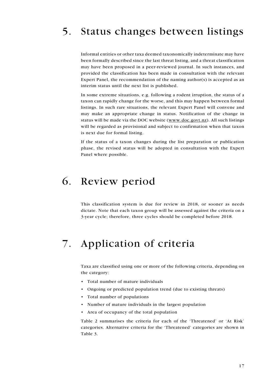## 5. Status changes between listings

Informal entities or other taxa deemed taxonomically indeterminate may have been formally described since the last threat listing, and a threat classification may have been proposed in a peer-reviewed journal. In such instances, and provided the classification has been made in consultation with the relevant Expert Panel, the recommendation of the naming author(s) is accepted as an interim status until the next list is published.

In some extreme situations, e.g. following a rodent irruption, the status of a taxon can rapidly change for the worse, and this may happen between formal listings. In such rare situations, the relevant Expert Panel will convene and may make an appropriate change in status. Notification of the change in status will be made via the DOC website (www.doc.govt.nz). All such listings will be regarded as provisional and subject to confirmation when that taxon is next due for formal listing.

If the status of a taxon changes during the list preparation or publication phase, the revised status will be adopted in consultation with the Expert Panel where possible.

### 6. Review period

This classification system is due for review in 2018, or sooner as needs dictate. Note that each taxon group will be assessed against the criteria on a 3-year cycle; therefore, three cycles should be completed before 2018.

### 7. Application of criteria

Taxa are classified using one or more of the following criteria, depending on the category:

- • Total number of mature individuals
- • Ongoing or predicted population trend (due to existing threats)
- • Total number of populations
- • Number of mature individuals in the largest population
- • Area of occupancy of the total population

Table 2 summarises the criteria for each of the 'Threatened' or 'At Risk' categories. Alternative criteria for the 'Threatened' categories are shown in Table 3.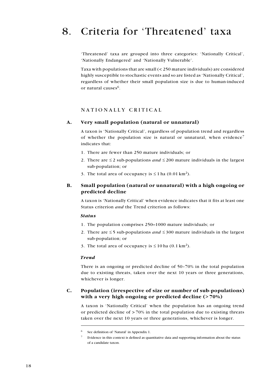### 8. Criteria for 'Threatened' taxa

'Threatened' taxa are grouped into three categories: 'Nationally Critical', 'Nationally Endangered' and 'Nationally Vulnerable'.

Taxa with populations that are small (< 250 mature individuals) are considered highly susceptible to stochastic events and so are listed as 'Nationally Critical', regardless of whether their small population size is due to human-induced or natural causes<sup>6</sup>.

#### NATIONALLY CRITICAL

#### A. Very small population (natural or unnatural)

A taxon is 'Nationally Critical', regardless of population trend and regardless of whether the population size is natural or unnatural, when evidence<sup>7</sup> indicates that:

- 1. There are fewer than 250 mature individuals; or
- 2. There are  $\leq 2$  sub-populations and  $\leq 200$  mature individuals in the largest sub-population; or
- 3. The total area of occupancy is  $\leq 1$  ha (0.01 km<sup>2</sup>).

#### B. Small population (natural or unnatural) with a high ongoing or predicted decline

A taxon is 'Nationally Critical' when evidence indicates that it fits at least one Status criterion and the Trend criterion as follows:

#### **Status**

- 1. The population comprises 250–1000 mature individuals; or
- 2. There are  $\leq$  5 sub-populations and  $\leq$  300 mature individuals in the largest sub-population; or
- 3. The total area of occupancy is  $\leq 10$  ha (0.1 km<sup>2</sup>).

#### Trend

There is an ongoing or predicted decline of 50–70% in the total population due to existing threats, taken over the next 10 years or three generations, whichever is longer.

#### C. Population (irrespective of size or number of sub-populations) with a very high ongoing or predicted decline (>70%)

A taxon is 'Nationally Critical' when the population has an ongoing trend or predicted decline of  $> 70\%$  in the total population due to existing threats taken over the next 10 years or three generations, whichever is longer.

<sup>6</sup> See definition of 'Natural' in Appendix 1.

<sup>7</sup> Evidence in this context is defined as quantitative data and supporting information about the status of a candidate taxon.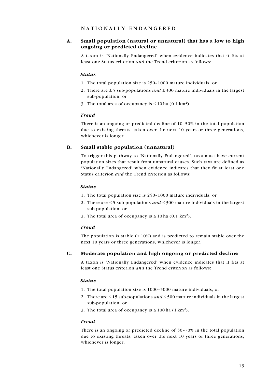#### N ationall y E ndangered

#### A. Small population (natural or unnatural) that has a low to high ongoing or predicted decline

A taxon is 'Nationally Endangered' when evidence indicates that it fits at least one Status criterion and the Trend criterion as follows:

#### Status

- 1. The total population size is 250–1000 mature individuals; or
- 2. There are  $\leq$  5 sub-populations *and*  $\leq$  300 mature individuals in the largest sub-population; or
- 3. The total area of occupancy is  $\leq 10$  ha (0.1 km<sup>2</sup>).

#### Trend

There is an ongoing or predicted decline of 10–50% in the total population due to existing threats, taken over the next 10 years or three generations, whichever is longer.

#### B. Small stable population (unnatural)

To trigger this pathway to 'Nationally Endangered', taxa must have current population sizes that result from unnatural causes. Such taxa are defined as 'Nationally Endangered' when evidence indicates that they fit at least one Status criterion and the Trend criterion as follows:

#### Status

- 1. The total population size is 250–1000 mature individuals; or
- 2. There are  $\leq$  5 sub-populations and  $\leq$  300 mature individuals in the largest sub-population; or
- 3. The total area of occupancy is  $\leq 10$  ha (0.1 km<sup>2</sup>).

#### Trend

The population is stable  $(\pm 10\%)$  and is predicted to remain stable over the next 10 years or three generations, whichever is longer.

#### C. Moderate population and high ongoing or predicted decline

A taxon is 'Nationally Endangered' when evidence indicates that it fits at least one Status criterion and the Trend criterion as follows:

#### Status

- 1. The total population size is 1000–5000 mature individuals; or
- 2. There are  $\leq$  15 sub-populations *and*  $\leq$  500 mature individuals in the largest sub-population; or
- 3. The total area of occupancy is  $\leq 100$  ha (1 km<sup>2</sup>).

#### Trend

There is an ongoing or predicted decline of 50–70% in the total population due to existing threats, taken over the next 10 years or three generations, whichever is longer.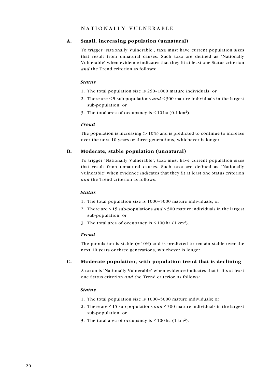#### NATIONALLY VULNERABLE

#### A. Small, increasing population (unnatural)

To trigger 'Nationally Vulnerable', taxa must have current population sizes that result from unnatural causes. Such taxa are defined as 'Nationally Vulnerable' when evidence indicates that they fit at least one Status criterion and the Trend criterion as follows:

#### Status

- 1. The total population size is 250–1000 mature individuals; or
- 2. There are  $\leq$  5 sub-populations *and*  $\leq$  300 mature individuals in the largest sub-population; or
- 3. The total area of occupancy is  $\leq 10$  ha (0.1 km<sup>2</sup>).

#### Trend

The population is increasing  $(>10\%)$  and is predicted to continue to increase over the next 10 years or three generations, whichever is longer.

#### B. Moderate, stable population (unnatural)

To trigger 'Nationally Vulnerable', taxa must have current population sizes that result from unnatural causes. Such taxa are defined as 'Nationally Vulnerable' when evidence indicates that they fit at least one Status criterion and the Trend criterion as follows:

#### Status

- 1. The total population size is 1000–5000 mature individuals; or
- 2. There are  $\leq$  15 sub-populations *and*  $\leq$  500 mature individuals in the largest sub-population; or
- 3. The total area of occupancy is  $\leq 100$  ha  $(1 \text{ km}^2)$ .

#### Trend

The population is stable  $(\pm 10\%)$  and is predicted to remain stable over the next 10 years or three generations, whichever is longer.

#### C. Moderate population, with population trend that is declining

A taxon is 'Nationally Vulnerable' when evidence indicates that it fits at least one Status criterion and the Trend criterion as follows:

#### Status

- 1. The total population size is 1000–5000 mature individuals; or
- 2. There are  $\leq$  15 sub-populations *and*  $\leq$  500 mature individuals in the largest sub-population; or
- 3. The total area of occupancy is  $\leq 100$  ha (1 km<sup>2</sup>).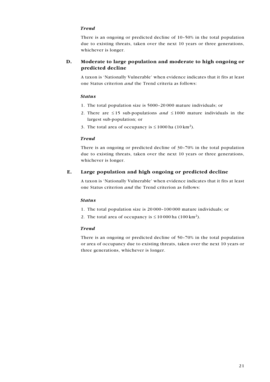#### Trend

There is an ongoing or predicted decline of 10–50% in the total population due to existing threats, taken over the next 10 years or three generations, whichever is longer.

#### D. Moderate to large population and moderate to high ongoing or predicted decline

A taxon is 'Nationally Vulnerable' when evidence indicates that it fits at least one Status criterion and the Trend criteria as follows:

#### Status

- 1. The total population size is 5000–20 000 mature individuals; or
- 2. There are  $\leq 15$  sub-populations and  $\leq 1000$  mature individuals in the largest sub-population; or
- 3. The total area of occupancy is  $\leq 1000$  ha (10 km<sup>2</sup>).

#### Trend

There is an ongoing or predicted decline of 30–70% in the total population due to existing threats, taken over the next 10 years or three generations, whichever is longer.

#### E. Large population and high ongoing or predicted decline

A taxon is 'Nationally Vulnerable' when evidence indicates that it fits at least one Status criterion and the Trend criterion as follows:

#### Status

- 1. The total population size is 20 000–100 000 mature individuals; or
- 2. The total area of occupancy is  $\leq 10000$  ha (100 km<sup>2</sup>).

#### Trend

There is an ongoing or predicted decline of 50–70% in the total population or area of occupancy due to existing threats, taken over the next 10 years or three generations, whichever is longer.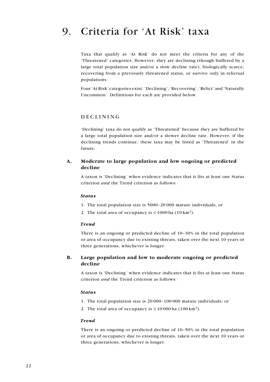### 9. Criteria for 'At Risk' taxa

Taxa that qualify as 'At Risk' do not meet the criteria for any of the 'Threatened' categories. However, they are declining (though buffered by a large total population size and/or a slow decline rate), biologically scarce, recovering from a previously threatened status, or survive only in relictual populations.

Four 'At Risk' categories exist: 'Declining', 'Recovering', 'Relict' and 'Naturally Uncommon'. Definitions for each are provided below.

#### **DECLINING**

'Declining' taxa do not qualify as 'Threatened' because they are buffered by a large total population size and/or a slower decline rate. However, if the declining trends continue, these taxa may be listed as 'Threatened' in the future.

#### A. Moderate to large population and low ongoing or predicted decline

A taxon is 'Declining' when evidence indicates that it fits at least one Status criterion and the Trend criterion as follows:

#### Status

- 1. The total population size is 5000–20 000 mature individuals; or
- 2. The total area of occupancy is  $\leq 1000$  ha (10 km<sup>2</sup>).

#### Trend

There is an ongoing or predicted decline of 10–30% in the total population or area of occupancy due to existing threats, taken over the next 10 years or three generations, whichever is longer.

#### B. Large population and low to moderate ongoing or predicted decline

A taxon is 'Declining' when evidence indicates that it fits at least one Status criterion and the Trend criterion as follows:

#### Status

- 1. The total population size is 20 000–100 000 mature individuals; or
- 2. The total area of occupancy is  $\leq 10000$  ha (100 km<sup>2</sup>).

#### Trend

There is an ongoing or predicted decline of 10–50% in the total population or area of occupancy due to existing threats, taken over the next 10 years or three generations, whichever is longer.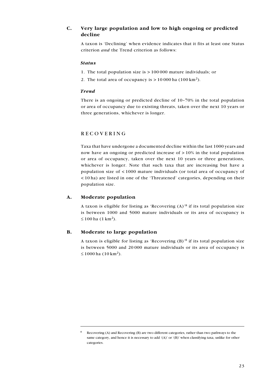#### C. Very large population and low to high ongoing or predicted decline

A taxon is 'Declining' when evidence indicates that it fits at least one Status criterion and the Trend criterion as follows:

#### Status

- 1. The total population size is > 100 000 mature individuals; or
- 2. The total area of occupancy is  $> 10000$  ha (100 km<sup>2</sup>).

#### Trend

There is an ongoing or predicted decline of 10–70% in the total population or area of occupancy due to existing threats, taken over the next 10 years or three generations, whichever is longer.

#### **RECOVERING**

Taxa that have undergone a documented decline within the last 1000 years and now have an ongoing or predicted increase of > 10% in the total population or area of occupancy, taken over the next 10 years or three generations, whichever is longer. Note that such taxa that are increasing but have a population size of < 1000 mature individuals (or total area of occupancy of < 10 ha) are listed in one of the 'Threatened' categories, depending on their population size.

#### A. Moderate population

A taxon is eligible for listing as 'Recovering  $(A)$ <sup>8</sup> if its total population size is between 1000 and 5000 mature individuals or its area of occupancy is ≤ 100 ha  $(1 km<sup>2</sup>)$ .

#### B. Moderate to large population

A taxon is eligible for listing as 'Recovering  $(B)$ <sup>'8</sup> if its total population size is between 5000 and 20 000 mature individuals or its area of occupancy is ≤ 1000 ha  $(10 \text{ km}^2)$ .

Recovering (A) and Recovering (B) are two different categories, rather than two pathways to the same category, and hence it is necessary to add '(A)' or '(B)' when classifying taxa, unlike for other categories.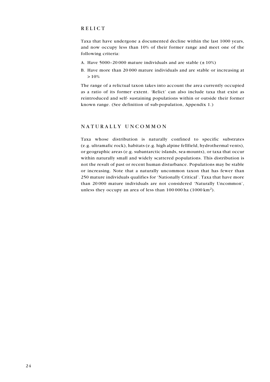#### **RELICT**

Taxa that have undergone a documented decline within the last 1000 years, and now occupy less than 10% of their former range and meet one of the following criteria:

- A. Have 5000-20 000 mature individuals and are stable  $(\pm 10\%)$
- B. Have more than 20 000 mature individuals and are stable or increasing at  $> 10%$

The range of a relictual taxon takes into account the area currently occupied as a ratio of its former extent. 'Relict' can also include taxa that exist as reintroduced and self- sustaining populations within or outside their former known range. (See definition of sub-population, Appendix 1.)

#### NATURALLY UNCOMMON

Taxa whose distribution is naturally confined to specific substrates (e.g. ultramafic rock), habitats (e.g. high alpine fellfield, hydrothermal vents), or geographic areas (e.g. subantarctic islands, sea-mounts), or taxa that occur within naturally small and widely scattered populations. This distribution is not the result of past or recent human disturbance. Populations may be stable or increasing. Note that a naturally uncommon taxon that has fewer than 250 mature individuals qualifies for 'Nationally Critical'. Taxa that have more than 20 000 mature individuals are not considered 'Naturally Uncommon', unless they occupy an area of less than 100 000 ha (1000 km<sup>2</sup>).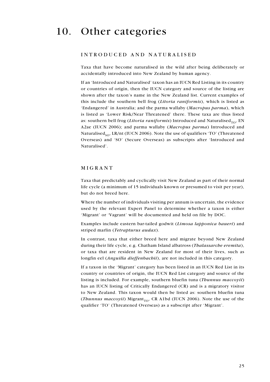### 10. Other categories

#### I ntroduced and N aturalised

Taxa that have become naturalised in the wild after being deliberately or accidentally introduced into New Zealand by human agency.

If an 'Introduced and Naturalised' taxon has an IUCN Red Listing in its country or countries of origin, then the IUCN category and source of the listing are shown after the taxon's name in the New Zealand list. Current examples of this include the southern bell frog (Litoria raniformis), which is listed as 'Endangered' in Australia; and the parma wallaby (Macropus parma), which is listed as 'Lower Risk/Near Threatened' there. These taxa are thus listed as: southern bell frog (Litoria raniformis) Introduced and Naturalised<sub>TO</sub>, EN A2ae (IUCN 2006); and parma wallaby (Macropus parma) Introduced and Naturalised<sub>so</sub>, LR/nt (IUCN 2006). Note the use of qualifiers 'TO' (Threatened Overseas) and 'SO' (Secure Overseas) as subscripts after 'Introduced and Naturalised'.

#### MIGRANT

Taxa that predictably and cyclically visit New Zealand as part of their normal life cycle (a minimum of 15 individuals known or presumed to visit per year), but do not breed here.

Where the number of individuals visiting per annum is uncertain, the evidence used by the relevant Expert Panel to determine whether a taxon is either 'Migrant' or 'Vagrant' will be documented and held on file by DOC.

Examples include eastern bar-tailed godwit (Limosa lapponica baueri) and striped marlin (Tetrapturus audax).

In contrast, taxa that either breed here and migrate beyond New Zealand during their life cycle, e.g. Chatham Island albatross (Thalassarche eremita), or taxa that are resident in New Zealand for most of their lives, such as longfin eel (Anguilla dieffenbachii), are not included in this category.

If a taxon in the 'Migrant' category has been listed in an IUCN Red List in its country or countries of origin, the IUCN Red List category and source of the listing is included. For example, southern bluefin tuna (*Thunnus maccoyii*) has an IUCN listing of Critically Endangered (CR) and is a migratory visitor to New Zealand. This taxon would then be listed as: southern bluefin tuna (Thunnus maccoyii) Migrant<sub>TO</sub>, CR A1bd (IUCN 2006). Note the use of the qualifier 'TO' (Threatened Overseas) as a subscript after 'Migrant'.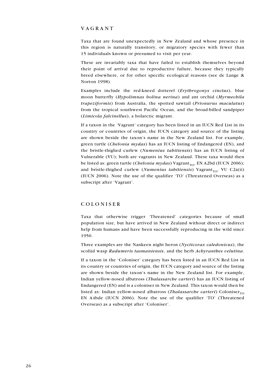#### **VAGRANT**

Taxa that are found unexpectedly in New Zealand and whose presence in this region is naturally transitory, or migratory species with fewer than 15 individuals known or presumed to visit per year.

These are invariably taxa that have failed to establish themselves beyond their point of arrival due to reproductive failure, because they typically breed elsewhere, or for other specific ecological reasons (see de Lange & Norton 1998).

Examples include the red-kneed dotterel (Erythrogonys cinctus), blue moon butterfly (Hypolimnas bolina nerina) and ant orchid (Myrmechila trapeziformis) from Australia, the spotted sawtail (Prionurus maculatus) from the tropical southwest Pacific Ocean, and the broad-billed sandpiper (Limicola falcinellus), a holarctic migrant.

If a taxon in the 'Vagrant' category has been listed in an IUCN Red List in its country or countries of origin, the IUCN category and source of the listing are shown beside the taxon's name in the New Zealand list. For example, green turtle (*Chelonia mydas*) has an IUCN listing of Endangered (EN), and the bristle-thighed curlew (Numenius tahitiensis) has an IUCN listing of Vulnerable (VU); both are vagrants in New Zealand. These taxa would then be listed as: green turtle (*Chelonia mydas*) Vagrant<sub>TO</sub>, EN A2bd (IUCN 2006); and bristle-thighed curlew (*Numenius tahitiensis*) Vagrant<sub>TO</sub>, VU C2a(ii) (IUCN 2006). Note the use of the qualifier 'TO' (Threatened Overseas) as a subscript after 'Vagrant'.

#### C oloniser

Taxa that otherwise trigger 'Threatened' categories because of small population size, but have arrived in New Zealand without direct or indirect help from humans and have been successfully reproducing in the wild since 1950.

Three examples are the Nankeen night heron (Nycticorax caledonicus), the scoliid wasp Radumeris tasmaniensis, and the herb Achyranthes velutina.

If a taxon in the 'Coloniser' category has been listed in an IUCN Red List in its country or countries of origin, the IUCN category and source of the listing are shown beside the taxon's name in the New Zealand list. For example, Indian yellow-nosed albatross (Thalassarche carteri) has an IUCN listing of Endangered (EN) and is a coloniser in New Zealand. This taxon would then be listed as: Indian yellow-nosed albatross (*Thalassarche carteri*) Coloniser<sub>TO</sub> EN A4bde (IUCN 2006). Note the use of the qualifier 'TO' (Threatened Overseas) as a subscript after 'Coloniser'.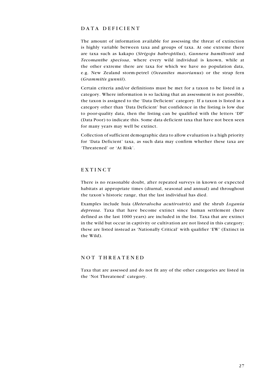#### DATA DEFICIENT

The amount of information available for assessing the threat of extinction is highly variable between taxa and groups of taxa. At one extreme there are taxa such as kakapo (Strigops habroptilus), Gunnera hamiltonii and Tecomanthe speciosa, where every wild individual is known, while at the other extreme there are taxa for which we have no population data, e.g. New Zealand storm-petrel (Oceanites maorianus) or the strap fern (Grammitis gunnii).

Certain criteria and/or definitions must be met for a taxon to be listed in a category. Where information is so lacking that an assessment is not possible, the taxon is assigned to the 'Data Deficient' category. If a taxon is listed in a category other than 'Data Deficient' but confidence in the listing is low due to poor-quality data, then the listing can be qualified with the letters 'DP' (Data Poor) to indicate this. Some data deficient taxa that have not been seen for many years may well be extinct.

Collection of sufficient demographic data to allow evaluation is a high priority for 'Data Deficient' taxa, as such data may confirm whether these taxa are 'Threatened' or 'At Risk'.

#### EXTINCT

There is no reasonable doubt, after repeated surveys in known or expected habitats at appropriate times (diurnal, seasonal and annual) and throughout the taxon's historic range, that the last individual has died.

Examples include huia (Heteralocha acutirostris) and the shrub Logania depressa. Taxa that have become extinct since human settlement (here defined as the last 1000 years) are included in the list. Taxa that are extinct in the wild but occur in captivity or cultivation are not listed in this category; these are listed instead as 'Nationally Critical' with qualifier 'EW' (Extinct in the Wild).

#### NOT THREATENED

Taxa that are assessed and do not fit any of the other categories are listed in the 'Not Threatened' category.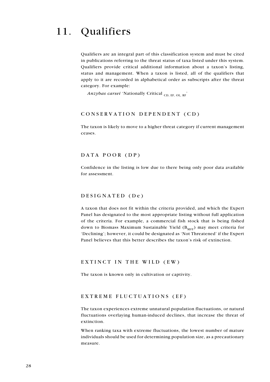### 11. Qualifiers

Qualifiers are an integral part of this classification system and must be cited in publications referring to the threat status of taxa listed under this system. Qualifiers provide critical additional information about a taxon's listing, status and management. When a taxon is listed, all of the qualifiers that apply to it are recorded in alphabetical order as subscripts after the threat category. For example:

Anzybas carsei 'Nationally Critical  $_{\text{CD, EF, OL, RF}}$ '

#### CONSERVATION DEPENDENT (CD)

The taxon is likely to move to a higher threat category if current management ceases.

#### DATA POOR (DP)

Confidence in the listing is low due to there being only poor data available for assessment.

#### DESIGNATED (De)

A taxon that does not fit within the criteria provided, and which the Expert Panel has designated to the most appropriate listing without full application of the criteria. For example, a commercial fish stock that is being fished down to Biomass Maximum Sustainable Yield  $(B_{MSV})$  may meet criteria for 'Declining'; however, it could be designated as 'Not Threatened' if the Expert Panel believes that this better describes the taxon's risk of extinction.

#### EXTINCT IN THE WILD (EW)

The taxon is known only in cultivation or captivity.

#### EXTREME FLUCTUATIONS (EF)

The taxon experiences extreme unnatural population fluctuations, or natural fluctuations overlaying human-induced declines, that increase the threat of extinction.

When ranking taxa with extreme fluctuations, the lowest number of mature individuals should be used for determining population size, as a precautionary measure.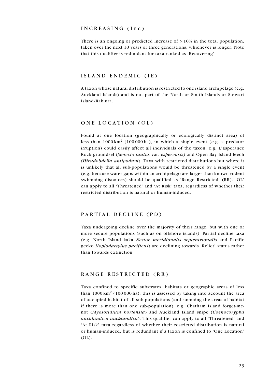#### INCREASING (Inc)

There is an ongoing or predicted increase of > 10% in the total population, taken over the next 10 years or three generations, whichever is longer. Note that this qualifier is redundant for taxa ranked as 'Recovering'.

#### ISLAND ENDEMIC (IE)

A taxon whose natural distribution is restricted to one island archipelago (e.g. Auckland Islands) and is not part of the North or South Islands or Stewart Island/Rakiura.

#### ONE LOCATION (OL)

Found at one location (geographically or ecologically distinct area) of less than  $1000 \text{ km}^2$  (100 000 ha), in which a single event (e.g. a predator irruption) could easily affect all individuals of the taxon, e.g. L'Esperance Rock groundsel (Senecio lautus var. esperensis) and Open Bay Island leech (Hirudobdella antipodum). Taxa with restricted distributions but where it is unlikely that all sub-populations would be threatened by a single event (e.g. because water gaps within an archipelago are larger than known rodent swimming distances) should be qualified as 'Range Restricted' (RR). 'OL' can apply to all 'Threatened' and 'At Risk' taxa, regardless of whether their restricted distribution is natural or human-induced.

#### PARTIAL DECLINE (PD)

Taxa undergoing decline over the majority of their range, but with one or more secure populations (such as on offshore islands). Partial decline taxa (e.g. North Island kaka Nestor meridionalis septentrionalis and Pacific gecko Hoplodactylus pacificus) are declining towards 'Relict' status rather than towards extinction.

#### RANGE RESTRICTED (RR)

Taxa confined to specific substrates, habitats or geographic areas of less than  $1000 \text{ km}^2$  (100 000 ha); this is assessed by taking into account the area of occupied habitat of all sub-populations (and summing the areas of habitat if there is more than one sub-population), e.g. Chatham Island forget-menot (Myosotidium hortensia) and Auckland Island snipe (Coenocorypha aucklandica aucklandica). This qualifier can apply to all 'Threatened' and 'At Risk' taxa regardless of whether their restricted distribution is natural or human-induced, but is redundant if a taxon is confined to 'One Location' (OL).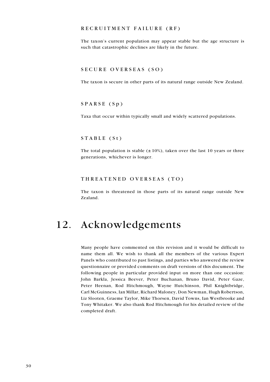#### RECRUITMENT FAILURE (RF)

The taxon's current population may appear stable but the age structure is such that catastrophic declines are likely in the future.

#### SECURE OVERSEAS (SO)

The taxon is secure in other parts of its natural range outside New Zealand.

#### $SPARSE (Sp)$

Taxa that occur within typically small and widely scattered populations.

#### $STABLE (St)$

The total population is stable  $(\pm 10\%)$ , taken over the last 10 years or three generations, whichever is longer.

#### THREATENED OVERSEAS (TO)

The taxon is threatened in those parts of its natural range outside New Zealand.

### 12. Acknowledgements

Many people have commented on this revision and it would be difficult to name them all. We wish to thank all the members of the various Expert Panels who contributed to past listings, and parties who answered the review questionnaire or provided comments on draft versions of this document. The following people in particular provided input on more than one occasion: John Barkla, Jessica Beever, Peter Buchanan, Bruno David, Peter Gaze, Peter Heenan, Rod Hitchmough, Wayne Hutchinson, Phil Knightbridge, Carl McGuinness, Ian Millar, Richard Maloney, Don Newman, Hugh Robertson, Liz Slooten, Graeme Taylor, Mike Thorsen, David Towns, Ian Westbrooke and Tony Whitaker. We also thank Rod Hitchmough for his detailed review of the completed draft.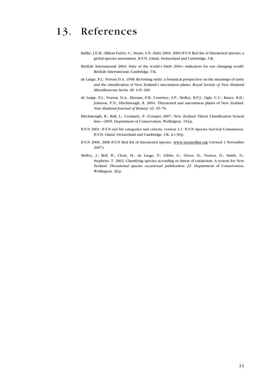### 13. References

- Baillie, J.E.M.; Hilton-Taylor, C.; Stuart, S.N. (Eds) 2004: 2004 IUCN Red list of threatened species; a global species assessment. IUCN, Gland, Switzerland and Cambridge, UK.
- BirdLife International 2004: State of the world's birds 2004—indicators for our changing world. BirdLife International, Cambridge, UK.
- de Lange, P.J.; Norton D.A. 1998: Revisiting rarity: a botanical perspective on the meanings of rarity and the classification of New Zealand's uncommon plants. Royal Society of New Zealand Miscellaneous Series 48: 145–160.
- de Lange, P.J.; Norton, D.A.; Heenan, P.B.; Courtney, S.P.; Molloy, B.P.J.; Ogle, C.C.; Rance, B.D.; Johnson, P.N.; Hitchmough, R. 2004: Threatened and uncommon plants of New Zealand. New Zealand Journal of Botany 42: 45–76.
- Hitchmough, R.; Bull, L.; Cromarty, P. (Comps) 2007: New Zealand Threat Classification System lists—2005. Department of Conservation, Wellington. 194p.
- IUCN 2001: IUCN red list categories and criteria: version 3.1. IUCN Species Survival Commission. IUCN, Gland, Switzerland and Cambridge, UK. ii+30p.
- IUCN 2006: 2006 IUCN Red list of threatened species. www.iucnredlist.org (viewed 1 November 2007).
- Molloy, J.; Bell, B.; Clout, M.; de Lange, P.; Gibbs, G.; Given, D.; Norton, D.; Smith, N.; Stephens, T. 2002: Classifying species according to threat of extinction. A system for New Zealand. Threatened species occasional publication 22. Department of Conservation, Wellington. 26p.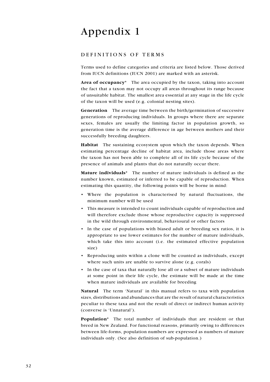### Appendix 1

#### DEFINITIONS OF TERMS

Terms used to define categories and criteria are listed below. Those derived from IUCN definitions (IUCN 2001) are marked with an asterisk.

Area of occupancy\* The area occupied by the taxon, taking into account the fact that a taxon may not occupy all areas throughout its range because of unsuitable habitat. The smallest area essential at any stage in the life cycle of the taxon will be used (e.g. colonial nesting sites).

Generation The average time between the birth/germination of successive generations of reproducing individuals. In groups where there are separate sexes, females are usually the limiting factor in population growth, so generation time is the average difference in age between mothers and their successfully breeding daughters.

Habitat The sustaining ecosystem upon which the taxon depends. When estimating percentage decline of habitat area, include those areas where the taxon has not been able to complete all of its life cycle because of the presence of animals and plants that do not naturally occur there.

Mature individuals<sup>\*</sup> The number of mature individuals is defined as the number known, estimated or inferred to be capable of reproduction. When estimating this quantity, the following points will be borne in mind:

- • Where the population is characterised by natural fluctuations, the minimum number will be used
- This measure is intended to count individuals capable of reproduction and will therefore exclude those whose reproductive capacity is suppressed in the wild through environmental, behavioural or other factors
- In the case of populations with biased adult or breeding sex ratios, it is appropriate to use lower estimates for the number of mature individuals, which take this into account (i.e. the estimated effective population size)
- • Reproducing units within a clone will be counted as individuals, except where such units are unable to survive alone (e.g. corals)
- • In the case of taxa that naturally lose all or a subset of mature individuals at some point in their life cycle, the estimate will be made at the time when mature individuals are available for breeding

Natural The term 'Natural' in this manual refers to taxa with population sizes, distributions and abundances that are the result of natural characteristics peculiar to these taxa and not the result of direct or indirect human activity (converse is 'Unnatural').

Population\* The total number of individuals that are resident or that breed in New Zealand. For functional reasons, primarily owing to differences between life-forms, population numbers are expressed as numbers of mature individuals only. (See also definition of sub-population.)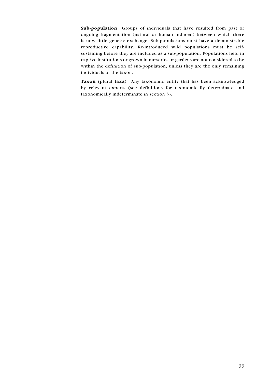Sub-population Groups of individuals that have resulted from past or ongoing fragmentation (natural or human induced) between which there is now little genetic exchange. Sub-populations must have a demonstrable reproductive capability. Re-introduced wild populations must be selfsustaining before they are included as a sub-population. Populations held in captive institutions or grown in nurseries or gardens are not considered to be within the definition of sub-population, unless they are the only remaining individuals of the taxon.

Taxon (plural taxa) Any taxonomic entity that has been acknowledged by relevant experts (see definitions for taxonomically determinate and taxonomically indeterminate in section 3).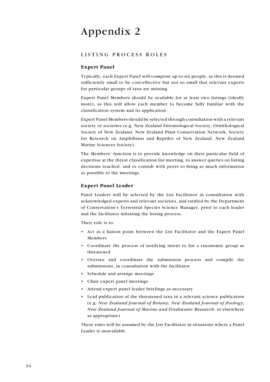### Appendix 2

#### LISTING PROCESS ROLES

#### Expert Panel

Typically, each Expert Panel will comprise up to six people, as this is deemed sufficiently small to be cost-effective but not so small that relevant experts for particular groups of taxa are missing.

Expert Panel Members should be available for at least two listings (ideally more), as this will allow each member to become fully familiar with the classification system and its application.

Expert Panel Members should be selected through consultation with a relevant society or societies (e.g. New Zealand Entomological Society, Ornithological Society of New Zealand, New Zealand Plant Conservation Network, Society for Research on Amphibians and Reptiles of New Zealand, New Zealand Marine Sciences Society).

The Members' function is to provide knowledge on their particular field of expertise at the threat classification list meeting, to answer queries on listing decisions reached, and to consult with peers to bring as much information as possible to the meetings.

#### Expert Panel Leader

Panel Leaders will be selected by the List Facilitator in consultation with acknowledged experts and relevant societies, and ratified by the Department of Conservation's Terrestrial Species Science Manager, prior to each leader and the facilitator initiating the listing process.

Their role is to:

- • Act as a liaison point between the List Facilitator and the Expert Panel Members
- • Coordinate the process of notifying intent to list a taxonomic group as threatened
- • Oversee and coordinate the submission process and compile the submissions, in consultation with the facilitator
- • Schedule and arrange meetings
- • Chair expert panel meetings
- • Attend expert panel leader briefings as necessary
- • Lead publication of the threatened taxa in a relevant science publication (e.g. New Zealand Journal of Botany, New Zealand Journal of Zoology, New Zealand Journal of Marine and Freshwater Research, or elsewhere as appropriate)

These roles will be assumed by the List Facilitator in situations where a Panel Leader is unavailable.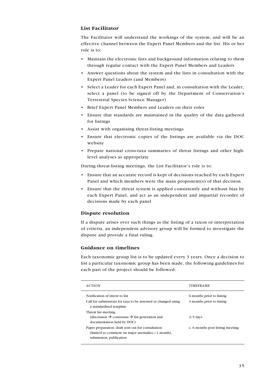#### List Facilitator

The Facilitator will understand the workings of the system, and will be an effective channel between the Expert Panel Members and the list. His or her role is to:

- • Maintain the electronic lists and background information relating to them through regular contact with the Expert Panel Members and Leaders
- • Answer questions about the system and the lists in consultation with the Expert Panel Leaders (and Members)
- • Select a Leader for each Expert Panel and, in consultation with the Leader, select a panel (to be signed off by the Department of Conservation's Terrestrial Species Science Manager)
- • Brief Expert Panel Members and Leaders on their roles
- • Ensure that standards are maintained in the quality of the data gathered for listings
- • Assist with organising threat-listing meetings
- Ensure that electronic copies of the listings are available via the DOC website
- • Prepare national cross-taxa summaries of threat listings and other highlevel analyses as appropriate

During threat-listing meetings, the List Facilitator's role is to:

- • Ensure that an accurate record is kept of decisions reached by each Expert Panel and which members were the main proponent(s) of that decision
- • Ensure that the threat system is applied consistently and without bias by each Expert Panel, and act as an independent and impartial recorder of decisions made by each panel

#### Dispute resolution

If a dispute arises over such things as the listing of a taxon or interpretation of criteria, an independent advisory group will be formed to investigate the dispute and provide a final ruling.

#### Guidance on timelines

Each taxonomic group list is to be updated every 3 years. Once a decision to list a particular taxonomic group has been made, the following guidelines for each part of the project should be followed:

| <b>ACTION</b>                                                                                                                     | <b>TIMEFRAME</b>                                       |
|-----------------------------------------------------------------------------------------------------------------------------------|--------------------------------------------------------|
| Notification of intent to list.<br>Call for submissions for taxa to be assessed or changed using<br>a standardised template       | 6 months prior to listing<br>3 months prior to listing |
| Threat list meeting<br>(discussion $\rightarrow$ consensus $\rightarrow$ list generation and<br>documentation held by DOC)        | $2-5$ days                                             |
| Paper preparation, draft sent out for consultation<br>(limited to comment on major anomalies—1 month),<br>submission, publication | c. 6 months post listing meeting                       |